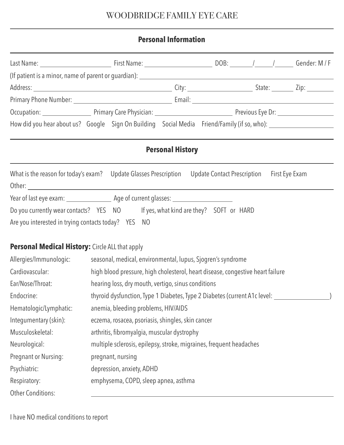# WOODBRIDGE FAMILY EYE CARE

## **Personal Information**

| How did you hear about us? Google Sign On Building Social Media Friend/Family (if so, who):                 |                                                                                |  |                         |  |  |  |
|-------------------------------------------------------------------------------------------------------------|--------------------------------------------------------------------------------|--|-------------------------|--|--|--|
|                                                                                                             |                                                                                |  | <b>Personal History</b> |  |  |  |
| What is the reason for today's exam? Update Glasses Prescription Update Contact Prescription First Eye Exam |                                                                                |  |                         |  |  |  |
|                                                                                                             |                                                                                |  |                         |  |  |  |
| Do you currently wear contacts? YES NO If yes, what kind are they? SOFT or HARD                             |                                                                                |  |                         |  |  |  |
| Are you interested in trying contacts today? YES NO                                                         |                                                                                |  |                         |  |  |  |
| <b>Personal Medical History:</b> Circle ALL that apply                                                      |                                                                                |  |                         |  |  |  |
| Allergies/Immunologic:                                                                                      | seasonal, medical, environmental, lupus, Sjogren's syndrome                    |  |                         |  |  |  |
| Cardiovascular:                                                                                             | high blood pressure, high cholesterol, heart disease, congestive heart failure |  |                         |  |  |  |
| Ear/Nose/Throat:                                                                                            | hearing loss, dry mouth, vertigo, sinus conditions                             |  |                         |  |  |  |
| Endocrine:                                                                                                  | thyroid dysfunction, Type 1 Diabetes, Type 2 Diabetes (current A1c level:      |  |                         |  |  |  |
| Hematologic/Lymphatic:                                                                                      | anemia, bleeding problems, HIV/AIDS                                            |  |                         |  |  |  |
| Integumentary (skin):                                                                                       | eczema, rosacea, psoriasis, shingles, skin cancer                              |  |                         |  |  |  |
| Musculoskeletal:                                                                                            | arthritis, fibromyalgia, muscular dystrophy                                    |  |                         |  |  |  |
| Neurological:                                                                                               | multiple sclerosis, epilepsy, stroke, migraines, frequent headaches            |  |                         |  |  |  |
| Pregnant or Nursing:                                                                                        | pregnant, nursing                                                              |  |                         |  |  |  |
| Psychiatric:                                                                                                | depression, anxiety, ADHD                                                      |  |                         |  |  |  |
| Respiratory:                                                                                                | emphysema, COPD, sleep apnea, asthma                                           |  |                         |  |  |  |
| <b>Other Conditions:</b>                                                                                    |                                                                                |  |                         |  |  |  |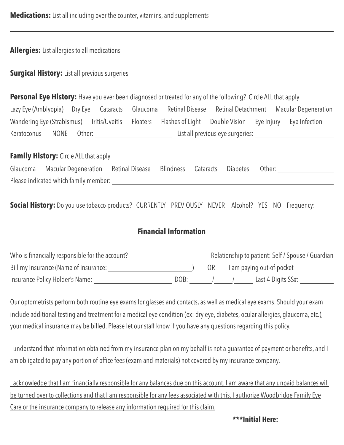**Medications:** List all including over the counter, vitamins, and supplements \_\_\_\_\_\_\_\_\_\_\_\_\_\_\_\_\_\_\_\_\_\_\_\_\_\_\_\_\_\_\_\_\_\_

**Allergies:** List allergies to all medications

**Surgical History:** List all previous surgeries

 $\overline{a}$ 

**Personal Eye History:** Have you ever been diagnosed or treated for any of the following? Circle ALL that apply Lazy Eye (Amblyopia) Dry Eye Cataracts Glaucoma Retinal Disease Retinal Detachment Macular Degeneration Wandering Eye (Strabismus) Iritis/Uveitis Floaters Flashes of Light Double Vision Eye Injury Eye Infection Keratoconus NONE Other: List all previous eye surgeries:

**Family History:** Circle ALL that apply

| Glaucoma Macular Degeneration Retinal Disease Blindness Cataracts Diabetes Other: |  |  |  |
|-----------------------------------------------------------------------------------|--|--|--|
| Please indicated which family member:                                             |  |  |  |

**Social History:** Do you use tobacco products? CURRENTLY PREVIOUSLY NEVER Alcohol? YES NO Frequency:

### **Financial Information**

| Who is financially responsible for the account? |      |     | Relationship to patient: Self / Spouse / Guardian |                           |  |  |
|-------------------------------------------------|------|-----|---------------------------------------------------|---------------------------|--|--|
| Bill my insurance (Name of insurance:           |      | OR. |                                                   | I am paying out-of-pocket |  |  |
| Insurance Policy Holder's Name:                 | DOB: |     |                                                   | Last 4 Digits SS#:        |  |  |

Our optometrists perform both routine eye exams for glasses and contacts, as well as medical eye exams. Should your exam include additional testing and treatment for a medical eye condition (ex: dry eye, diabetes, ocular allergies, glaucoma, etc.), your medical insurance may be billed. Please let our staff know if you have any questions regarding this policy.

I understand that information obtained from my insurance plan on my behalf is not a guarantee of payment or benefits, and I am obligated to pay any portion of office fees (exam and materials) not covered by my insurance company.

I acknowledge that I am financially responsible for any balances due on this account. I am aware that any unpaid balances will be turned over to collections and that I am responsible for any fees associated with this. I authorize Woodbridge Family Eye Care or the insurance company to release any information required for this claim.

**\*\*\*Initial Here:**